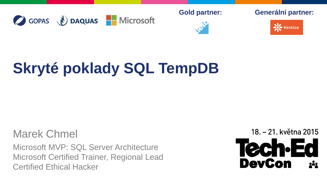C GOPAS (V) DAQUAS Microsoft



**Gold partner: Generální partner:**



# **Skryté poklady SQL TempDB**

#### Marek Chmel

Microsoft MVP: SQL Server Architecture Microsoft Certified Trainer, Regional Lead Certified Ethical Hacker

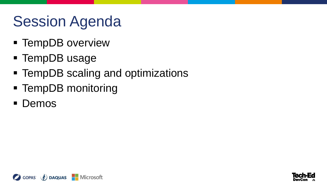## Session Agenda

- **F** TempDB overview
- **TempDB usage**
- **TempDB scaling and optimizations**
- TempDB monitoring
- **Demos**



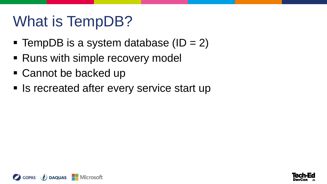## What is TempDB?

- **TempDB** is a system database  $(ID = 2)$
- Runs with simple recovery model
- Cannot be backed up
- Is recreated after every service start up



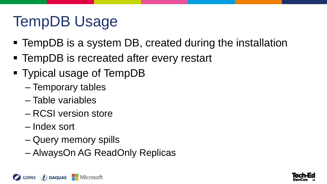## TempDB Usage

- TempDB is a system DB, created during the installation
- **TempDB** is recreated after every restart
- Typical usage of TempDB
	- Temporary tables
	- Table variables
	- RCSI version store
	- Index sort
	- Query memory spills
	- AlwaysOn AG ReadOnly Replicas



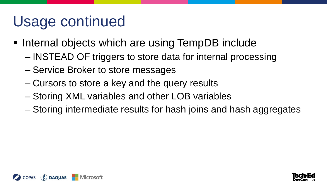## Usage continued

- Internal objects which are using TempDB include
	- INSTEAD OF triggers to store data for internal processing
	- Service Broker to store messages
	- Cursors to store a key and the query results
	- Storing XML variables and other LOB variables
	- Storing intermediate results for hash joins and hash aggregates



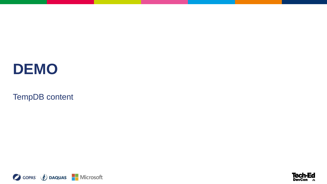TempDB content



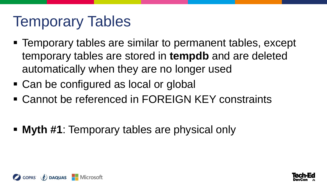#### Temporary Tables

- **Temporary tables are similar to permanent tables, except** temporary tables are stored in **tempdb** and are deleted automatically when they are no longer used
- Can be configured as local or global
- Cannot be referenced in FOREIGN KEY constraints
- **Myth #1**: Temporary tables are physical only



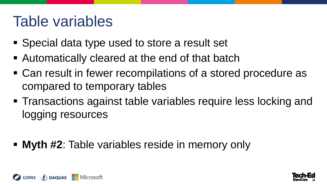#### Table variables

- Special data type used to store a result set
- Automatically cleared at the end of that batch
- Can result in fewer recompilations of a stored procedure as compared to temporary tables
- **Transactions against table variables require less locking and** logging resources
- **Myth #2**: Table variables reside in memory only



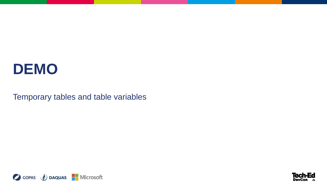Temporary tables and table variables



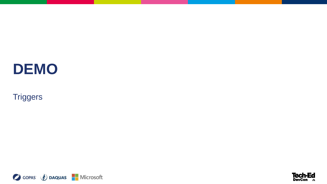**Triggers** 



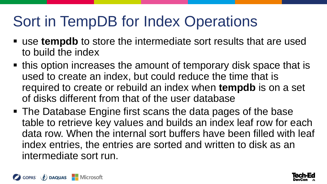## Sort in TempDB for Index Operations

- use **tempdb** to store the intermediate sort results that are used to build the index
- this option increases the amount of temporary disk space that is used to create an index, but could reduce the time that is required to create or rebuild an index when **tempdb** is on a set of disks different from that of the user database
- The Database Engine first scans the data pages of the base table to retrieve key values and builds an index leaf row for each data row. When the internal sort buffers have been filled with leaf index entries, the entries are sorted and written to disk as an intermediate sort run.



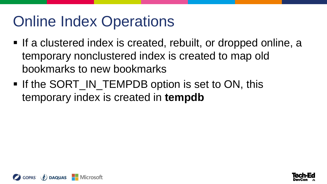## Online Index Operations

- If a clustered index is created, rebuilt, or dropped online, a temporary nonclustered index is created to map old bookmarks to new bookmarks
- **If the SORT\_IN\_TEMPDB option is set to ON, this** temporary index is created in **tempdb**



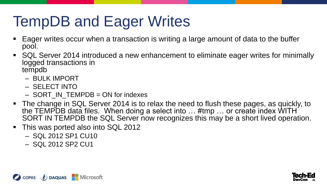## TempDB and Eager Writes

- Eager writes occur when a transaction is writing a large amount of data to the buffer pool.
- SQL Server 2014 introduced a new enhancement to eliminate eager writes for minimally logged transactions in tempdb
	- BULK IMPORT
	- SELECT INTO
	- SORT\_IN\_TEMPDB = ON for indexes
- The change in SQL Server 2014 is to relax the need to flush these pages, as quickly, to the TEMPDB data files. When doing a select into ... #tmp ... or create index WITH SORT IN TEMPDB the SQL Server now recognizes this may be a short lived operation.
- This was ported also into SQL 2012
	- SQL 2012 SP1 CU10
	- SQL 2012 SP2 CU1



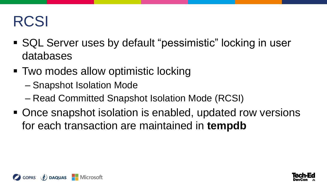## RCSI

- SQL Server uses by default "pessimistic" locking in user databases
- Two modes allow optimistic locking
	- Snapshot Isolation Mode
	- Read Committed Snapshot Isolation Mode (RCSI)
- Once snapshot isolation is enabled, updated row versions for each transaction are maintained in **tempdb**



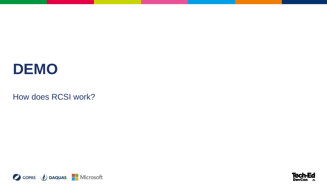How does RCSI work?



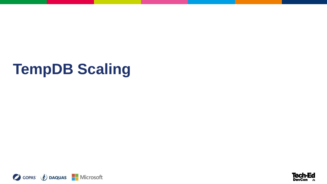## **TempDB Scaling**



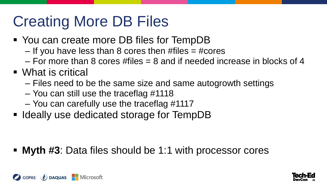## Creating More DB Files

- You can create more DB files for TempDB
	- If you have less than 8 cores then  $# files = # cores$
	- For more than 8 cores #files  $= 8$  and if needed increase in blocks of 4
- What is critical
	- Files need to be the same size and same autogrowth settings
	- You can still use the traceflag #1118
	- You can carefully use the traceflag #1117
- Ideally use dedicated storage for TempDB

**Myth #3**: Data files should be 1:1 with processor cores



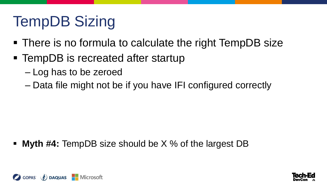## TempDB Sizing

- There is no formula to calculate the right TempDB size
- TempDB is recreated after startup
	- Log has to be zeroed
	- Data file might not be if you have IFI configured correctly

**Myth #4:** TempDB size should be X % of the largest DB



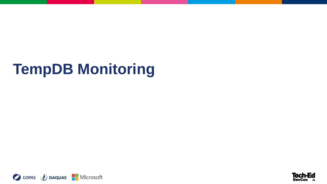## **TempDB Monitoring**



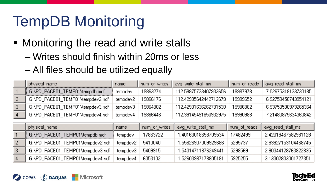## TempDB Monitoring

- **Monitoring the read and write stalls** 
	- Writes should finish within 20ms or less
	- All files should be utilized equally

| physical name                    | name     | num_of_writes | avg write stall ms     | num_of_reads | avg read stall ms    |
|----------------------------------|----------|---------------|------------------------|--------------|----------------------|
| G:\PD_PACE01_TEMP01\tempdb.mdf   | tempdev  | 19863274.     | 112.59875723407933656  | 19987978     | 7.02675318133730185  |
| G:NPD PACE01 TEMP01Ntempdev2.ndf | tempdev2 | 19866176      | 112.42995642442712679  | 19989652     | 6.92759458743954121  |
| G:NPD PACE01 TEMP01Nempdev3.ndf  | tempdev3 | 19864902      | 112 42901636262791530. | 19986882     | -6.93750530973265364 |
| G:\PD_PACE01_TEMP01\tempdev4.ndf | tempdev4 | 19866446      | 112.39145491850932975  | 19990988     | 7.21483875634360842  |

| physical_name                    | name     | num_of_writes | avg write stall ms   | num_of_reads | avg_read_stall_ms   |
|----------------------------------|----------|---------------|----------------------|--------------|---------------------|
| E.G.\PD_PACE01_TEMP01\tempdb.mdf | tempdev  | 17863722.     | 1.40163018658709534  | 17482499     | 2.42019467582981128 |
| G:\PD_PACE01_TEMP01\tempdev2.ndf | tempdev2 | 5410040       | 1.55826907009929686- | 5295737      | 2.93927153104468745 |
| G:\PD_PACE01_TEMP01\tempdev3.ndf | tempdey3 | 5409915       | 1.54014711876249441  | 5298569      | 2.90344128763822835 |
| G:\PD_PACE01_TEMP01\tempdev4.ndf | tempdey4 | 6053102       | 1 52603987178805181  | 5925255      | 3.13302803001727351 |

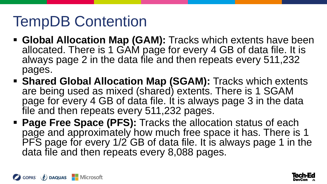## TempDB Contention

- **Global Allocation Map (GAM):** Tracks which extents have been allocated. There is 1 GAM page for every 4 GB of data file. It is always page 2 in the data file and then repeats every 511,232 pages.
- **Shared Global Allocation Map (SGAM):** Tracks which extents are being used as mixed (shared) extents. There is 1 SGAM page for every 4 GB of data file. It is always page 3 in the data file and then repeats every 511,232 pages.
- **Page Free Space (PFS):** Tracks the allocation status of each page and approximately how much free space it has. There is 1 PFS page for every 1/2 GB of data file. It is always page 1 in the data file and then repeats every 8,088 pages.



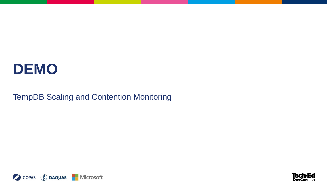TempDB Scaling and Contention Monitoring



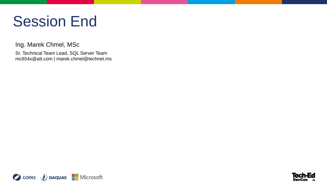#### Session End

Ing. Marek Chmel, MSc

Sr. Technical Team Lead, SQL Server Team mc654x@att.com | marek.chmel@technet.ms